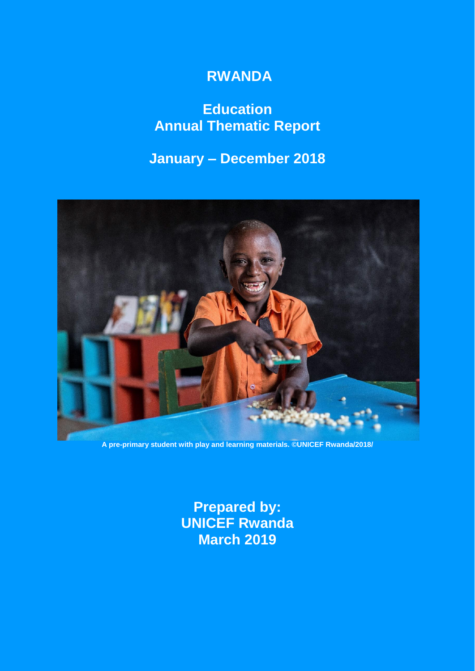# **RWANDA**

# **Education Annual Thematic Report**

# **January – December 2018**



**A pre-primary student with play and learning materials. ©UNICEF Rwanda/2018/**

**Prepared by: UNICEF Rwanda March 2019**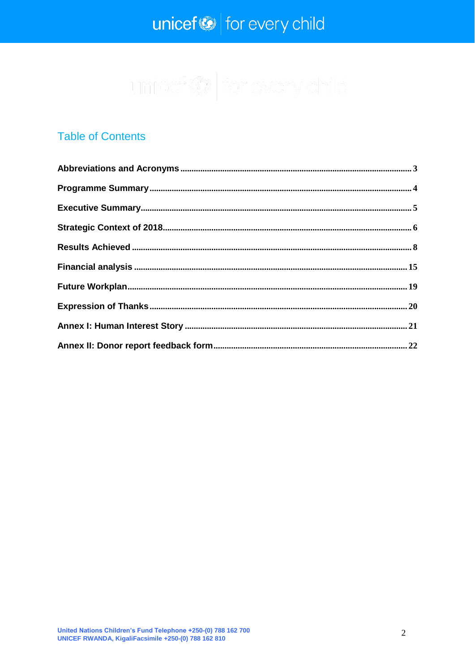# $unicef \otimes$  for every child

### **Table of Contents**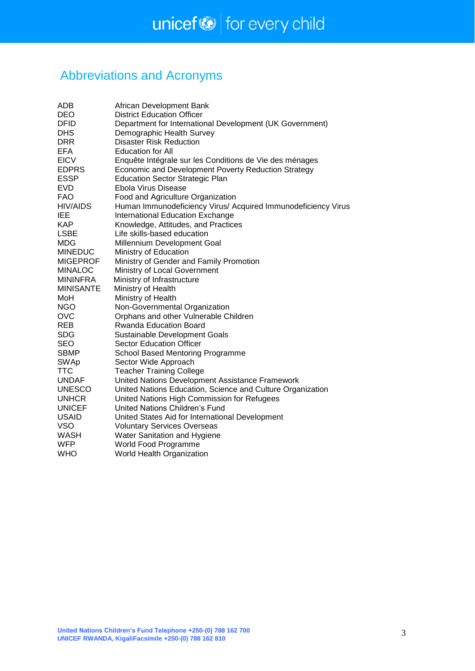# <span id="page-2-0"></span>Abbreviations and Acronyms

| ADB              | African Development Bank                                      |
|------------------|---------------------------------------------------------------|
| <b>DEO</b>       | <b>District Education Officer</b>                             |
| <b>DFID</b>      | Department for International Development (UK Government)      |
| <b>DHS</b>       | Demographic Health Survey                                     |
| <b>DRR</b>       | <b>Disaster Risk Reduction</b>                                |
| <b>EFA</b>       | <b>Education for All</b>                                      |
| <b>EICV</b>      | Enquête Intégrale sur les Conditions de Vie des ménages       |
| <b>EDPRS</b>     | Economic and Development Poverty Reduction Strategy           |
| <b>ESSP</b>      | <b>Education Sector Strategic Plan</b>                        |
| <b>EVD</b>       | Ebola Virus Disease                                           |
| <b>FAO</b>       | Food and Agriculture Organization                             |
| <b>HIV/AIDS</b>  | Human Immunodeficiency Virus/ Acquired Immunodeficiency Virus |
| <b>IEE</b>       | International Education Exchange                              |
| <b>KAP</b>       | Knowledge, Attitudes, and Practices                           |
| <b>LSBE</b>      | Life skills-based education                                   |
| MDG              | Millennium Development Goal                                   |
| <b>MINEDUC</b>   | Ministry of Education                                         |
| <b>MIGEPROF</b>  | Ministry of Gender and Family Promotion                       |
| <b>MINALOC</b>   | Ministry of Local Government                                  |
| <b>MININFRA</b>  | Ministry of Infrastructure                                    |
| <b>MINISANTE</b> | Ministry of Health                                            |
| MoH              | Ministry of Health                                            |
| <b>NGO</b>       | Non-Governmental Organization                                 |
| <b>OVC</b>       | Orphans and other Vulnerable Children                         |
| <b>REB</b>       | <b>Rwanda Education Board</b>                                 |
| <b>SDG</b>       | Sustainable Development Goals                                 |
| <b>SEO</b>       | <b>Sector Education Officer</b>                               |
| <b>SBMP</b>      | School Based Mentoring Programme                              |
| <b>SWAp</b>      | Sector Wide Approach                                          |
| <b>TTC</b>       | <b>Teacher Training College</b>                               |
| <b>UNDAF</b>     | United Nations Development Assistance Framework               |
| <b>UNESCO</b>    | United Nations Education, Science and Culture Organization    |
| <b>UNHCR</b>     | United Nations High Commission for Refugees                   |
| <b>UNICEF</b>    | United Nations Children's Fund                                |
| <b>USAID</b>     | United States Aid for International Development               |
| <b>VSO</b>       | <b>Voluntary Services Overseas</b>                            |
| <b>WASH</b>      | Water Sanitation and Hygiene                                  |
| WFP              | World Food Programme                                          |
| <b>WHO</b>       | World Health Organization                                     |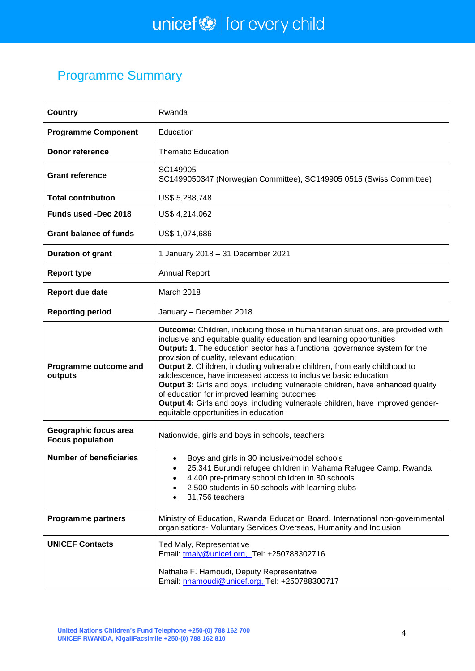# <span id="page-3-0"></span>Programme Summary

| <b>Country</b>                                   | Rwanda                                                                                                                                                                                                                                                                                                                                                                                                                                                                                                                                                                                                                                                                                                   |
|--------------------------------------------------|----------------------------------------------------------------------------------------------------------------------------------------------------------------------------------------------------------------------------------------------------------------------------------------------------------------------------------------------------------------------------------------------------------------------------------------------------------------------------------------------------------------------------------------------------------------------------------------------------------------------------------------------------------------------------------------------------------|
| <b>Programme Component</b>                       | Education                                                                                                                                                                                                                                                                                                                                                                                                                                                                                                                                                                                                                                                                                                |
| <b>Donor reference</b>                           | <b>Thematic Education</b>                                                                                                                                                                                                                                                                                                                                                                                                                                                                                                                                                                                                                                                                                |
| <b>Grant reference</b>                           | SC149905<br>SC1499050347 (Norwegian Committee), SC149905 0515 (Swiss Committee)                                                                                                                                                                                                                                                                                                                                                                                                                                                                                                                                                                                                                          |
| <b>Total contribution</b>                        | US\$ 5.288.748                                                                                                                                                                                                                                                                                                                                                                                                                                                                                                                                                                                                                                                                                           |
| <b>Funds used -Dec 2018</b>                      | US\$ 4,214,062                                                                                                                                                                                                                                                                                                                                                                                                                                                                                                                                                                                                                                                                                           |
| <b>Grant balance of funds</b>                    | US\$ 1,074,686                                                                                                                                                                                                                                                                                                                                                                                                                                                                                                                                                                                                                                                                                           |
| <b>Duration of grant</b>                         | 1 January 2018 - 31 December 2021                                                                                                                                                                                                                                                                                                                                                                                                                                                                                                                                                                                                                                                                        |
| <b>Report type</b>                               | <b>Annual Report</b>                                                                                                                                                                                                                                                                                                                                                                                                                                                                                                                                                                                                                                                                                     |
| Report due date                                  | March 2018                                                                                                                                                                                                                                                                                                                                                                                                                                                                                                                                                                                                                                                                                               |
| <b>Reporting period</b>                          | January - December 2018                                                                                                                                                                                                                                                                                                                                                                                                                                                                                                                                                                                                                                                                                  |
| Programme outcome and<br>outputs                 | <b>Outcome:</b> Children, including those in humanitarian situations, are provided with<br>inclusive and equitable quality education and learning opportunities<br>Output: 1. The education sector has a functional governance system for the<br>provision of quality, relevant education;<br>Output 2. Children, including vulnerable children, from early childhood to<br>adolescence, have increased access to inclusive basic education;<br>Output 3: Girls and boys, including vulnerable children, have enhanced quality<br>of education for improved learning outcomes;<br>Output 4: Girls and boys, including vulnerable children, have improved gender-<br>equitable opportunities in education |
| Geographic focus area<br><b>Focus population</b> | Nationwide, girls and boys in schools, teachers                                                                                                                                                                                                                                                                                                                                                                                                                                                                                                                                                                                                                                                          |
| <b>Number of beneficiaries</b>                   | Boys and girls in 30 inclusive/model schools<br>25,341 Burundi refugee children in Mahama Refugee Camp, Rwanda<br>4,400 pre-primary school children in 80 schools<br>2,500 students in 50 schools with learning clubs<br>31,756 teachers                                                                                                                                                                                                                                                                                                                                                                                                                                                                 |
| <b>Programme partners</b>                        | Ministry of Education, Rwanda Education Board, International non-governmental<br>organisations- Voluntary Services Overseas, Humanity and Inclusion                                                                                                                                                                                                                                                                                                                                                                                                                                                                                                                                                      |
| <b>UNICEF Contacts</b>                           | Ted Maly, Representative<br>Email: tmaly@unicef.org, Tel: +250788302716<br>Nathalie F. Hamoudi, Deputy Representative<br>Email: nhamoudi@unicef.org, Tel: +250788300717                                                                                                                                                                                                                                                                                                                                                                                                                                                                                                                                  |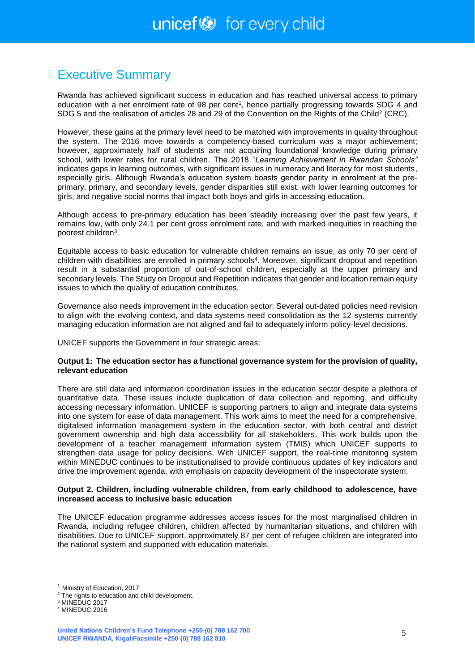### <span id="page-4-0"></span>Executive Summary

Rwanda has achieved significant success in education and has reached universal access to primary education with a net enrolment rate of 98 per cent<sup>1</sup>, hence partially progressing towards SDG 4 and SDG 5 and the realisation of articles 28 and 29 of the Convention on the Rights of the Child<sup>2</sup> (CRC).

However, these gains at the primary level need to be matched with improvements in quality throughout the system. The 2016 move towards a competency-based curriculum was a major achievement; however, approximately half of students are not acquiring foundational knowledge during primary school, with lower rates for rural children. The 2018 "*Learning Achievement in Rwandan Schools"* indicates gaps in learning outcomes, with significant issues in numeracy and literacy for most students, especially girls. Although Rwanda's education system boasts gender parity in enrolment at the preprimary, primary, and secondary levels, gender disparities still exist, with lower learning outcomes for girls, and negative social norms that impact both boys and girls in accessing education.

Although access to pre-primary education has been steadily increasing over the past few years, it remains low, with only 24.1 per cent gross enrolment rate, and with marked inequities in reaching the poorest children<sup>3</sup>.

Equitable access to basic education for vulnerable children remains an issue, as only 70 per cent of children with disabilities are enrolled in primary schools<sup>4</sup>. Moreover, significant dropout and repetition result in a substantial proportion of out-of-school children, especially at the upper primary and secondary levels. The Study on Dropout and Repetition indicates that gender and location remain equity issues to which the quality of education contributes.

Governance also needs improvement in the education sector: Several out-dated policies need revision to align with the evolving context, and data systems need consolidation as the 12 systems currently managing education information are not aligned and fail to adequately inform policy-level decisions.

UNICEF supports the Government in four strategic areas:

### **Output 1: The education sector has a functional governance system for the provision of quality, relevant education**

There are still data and information coordination issues in the education sector despite a plethora of quantitative data. These issues include duplication of data collection and reporting, and difficulty accessing necessary information. UNICEF is supporting partners to align and integrate data systems into one system for ease of data management. This work aims to meet the need for a comprehensive, digitalised information management system in the education sector, with both central and district government ownership and high data accessibility for all stakeholders. This work builds upon the development of a teacher management information system (TMIS) which UNICEF supports to strengthen data usage for policy decisions. With UNICEF support, the real-time monitoring system within MINEDUC continues to be institutionalised to provide continuous updates of key indicators and drive the improvement agenda, with emphasis on capacity development of the inspectorate system.

#### **Output 2. Children, including vulnerable children, from early childhood to adolescence, have increased access to inclusive basic education**

The UNICEF education programme addresses access issues for the most marginalised children in Rwanda, including refugee children, children affected by humanitarian situations, and children with disabilities. Due to UNICEF support, approximately 87 per cent of refugee children are integrated into the national system and supported with education materials.

1

<sup>1</sup> Ministry of Education, 2017

<sup>&</sup>lt;sup>2</sup> The rights to education and child development.

<sup>&</sup>lt;sup>3</sup> MINEDUC 2017

<sup>4</sup> MINEDUC 2016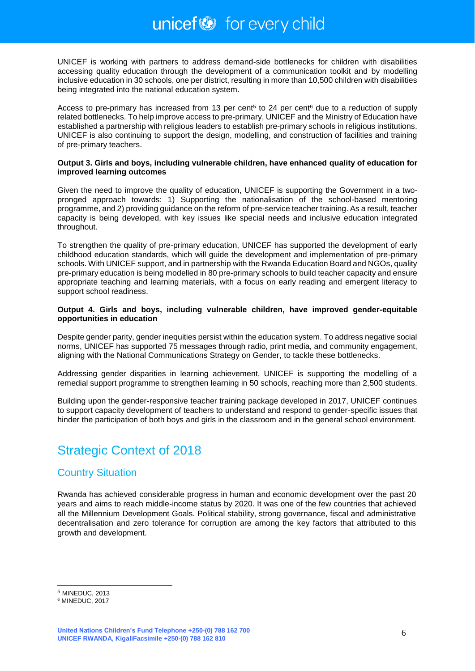UNICEF is working with partners to address demand-side bottlenecks for children with disabilities accessing quality education through the development of a communication toolkit and by modelling inclusive education in 30 schools, one per district, resulting in more than 10,500 children with disabilities being integrated into the national education system.

Access to pre-primary has increased from 13 per cent<sup>5</sup> to 24 per cent<sup>6</sup> due to a reduction of supply related bottlenecks. To help improve access to pre-primary, UNICEF and the Ministry of Education have established a partnership with religious leaders to establish pre-primary schools in religious institutions. UNICEF is also continuing to support the design, modelling, and construction of facilities and training of pre-primary teachers.

#### **Output 3. Girls and boys, including vulnerable children, have enhanced quality of education for improved learning outcomes**

Given the need to improve the quality of education, UNICEF is supporting the Government in a twopronged approach towards: 1) Supporting the nationalisation of the school-based mentoring programme, and 2) providing guidance on the reform of pre-service teacher training. As a result, teacher capacity is being developed, with key issues like special needs and inclusive education integrated throughout.

To strengthen the quality of pre-primary education, UNICEF has supported the development of early childhood education standards, which will guide the development and implementation of pre-primary schools. With UNICEF support, and in partnership with the Rwanda Education Board and NGOs, quality pre-primary education is being modelled in 80 pre-primary schools to build teacher capacity and ensure appropriate teaching and learning materials, with a focus on early reading and emergent literacy to support school readiness.

#### **Output 4. Girls and boys, including vulnerable children, have improved gender-equitable opportunities in education**

Despite gender parity, gender inequities persist within the education system. To address negative social norms, UNICEF has supported 75 messages through radio, print media, and community engagement, aligning with the National Communications Strategy on Gender, to tackle these bottlenecks.

Addressing gender disparities in learning achievement, UNICEF is supporting the modelling of a remedial support programme to strengthen learning in 50 schools, reaching more than 2,500 students.

Building upon the gender-responsive teacher training package developed in 2017, UNICEF continues to support capacity development of teachers to understand and respond to gender-specific issues that hinder the participation of both boys and girls in the classroom and in the general school environment.

# <span id="page-5-0"></span>Strategic Context of 2018

### Country Situation

Rwanda has achieved considerable progress in human and economic development over the past 20 years and aims to reach middle-income status by 2020. It was one of the few countries that achieved all the Millennium Development Goals. Political stability, strong governance, fiscal and administrative decentralisation and zero tolerance for corruption are among the key factors that attributed to this growth and development.

-

<sup>5</sup> MINEDUC, 2013

<sup>6</sup> MINEDUC, 2017

**United Nations Children's Fund Telephone +250-(0) 788 162 700 UNICEF RWANDA, KigaliFacsimile +250-(0) 788 162 810**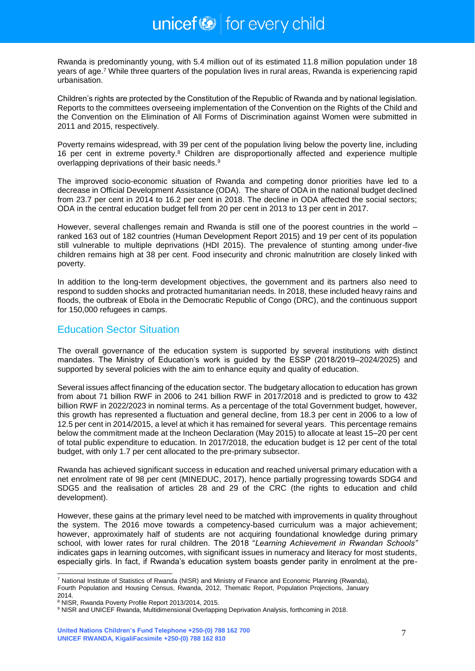Rwanda is predominantly young, with 5.4 million out of its estimated 11.8 million population under 18 years of age.<sup>7</sup> While three quarters of the population lives in rural areas, Rwanda is experiencing rapid urbanisation.

Children's rights are protected by the Constitution of the Republic of Rwanda and by national legislation. Reports to the committees overseeing implementation of the Convention on the Rights of the Child and the Convention on the Elimination of All Forms of Discrimination against Women were submitted in 2011 and 2015, respectively.

Poverty remains widespread, with 39 per cent of the population living below the poverty line, including 16 per cent in extreme poverty.<sup>8</sup> Children are disproportionally affected and experience multiple overlapping deprivations of their basic needs.<sup>9</sup>

The improved socio-economic situation of Rwanda and competing donor priorities have led to a decrease in Official Development Assistance (ODA). The share of ODA in the national budget declined from 23.7 per cent in 2014 to 16.2 per cent in 2018. The decline in ODA affected the social sectors; ODA in the central education budget fell from 20 per cent in 2013 to 13 per cent in 2017.

However, several challenges remain and Rwanda is still one of the poorest countries in the world – ranked 163 out of 182 countries (Human Development Report 2015) and 19 per cent of its population still vulnerable to multiple deprivations (HDI 2015). The prevalence of stunting among under-five children remains high at 38 per cent. Food insecurity and chronic malnutrition are closely linked with poverty.

In addition to the long-term development objectives, the government and its partners also need to respond to sudden shocks and protracted humanitarian needs. In 2018, these included heavy rains and floods, the outbreak of Ebola in the Democratic Republic of Congo (DRC), and the continuous support for 150,000 refugees in camps.

### Education Sector Situation

The overall governance of the education system is supported by several institutions with distinct mandates. The Ministry of Education's work is guided by the ESSP (2018/2019–2024/2025) and supported by several policies with the aim to enhance equity and quality of education.

Several issues affect financing of the education sector. The budgetary allocation to education has grown from about 71 billion RWF in 2006 to 241 billion RWF in 2017/2018 and is predicted to grow to 432 billion RWF in 2022/2023 in nominal terms. As a percentage of the total Government budget, however, this growth has represented a fluctuation and general decline, from 18.3 per cent in 2006 to a low of 12.5 per cent in 2014/2015, a level at which it has remained for several years. This percentage remains below the commitment made at the Incheon Declaration (May 2015) to allocate at least 15–20 per cent of total public expenditure to education. In 2017/2018, the education budget is 12 per cent of the total budget, with only 1.7 per cent allocated to the pre-primary subsector.

Rwanda has achieved significant success in education and reached universal primary education with a net enrolment rate of 98 per cent (MINEDUC, 2017), hence partially progressing towards SDG4 and SDG5 and the realisation of articles 28 and 29 of the CRC (the rights to education and child development).

However, these gains at the primary level need to be matched with improvements in quality throughout the system. The 2016 move towards a competency-based curriculum was a major achievement; however, approximately half of students are not acquiring foundational knowledge during primary school, with lower rates for rural children. The 2018 "*Learning Achievement in Rwandan Schools"* indicates gaps in learning outcomes, with significant issues in numeracy and literacy for most students, especially girls. In fact, if Rwanda's education system boasts gender parity in enrolment at the pre-

-

<sup>&</sup>lt;sup>7</sup> National Institute of Statistics of Rwanda (NISR) and Ministry of Finance and Economic Planning (Rwanda), Fourth Population and Housing Census, Rwanda, 2012, Thematic Report, Population Projections, January 2014.

<sup>8</sup> NISR, Rwanda Poverty Profile Report 2013/2014, 2015.

<sup>&</sup>lt;sup>9</sup> NISR and UNICEF Rwanda, Multidimensional Overlapping Deprivation Analysis, forthcoming in 2018.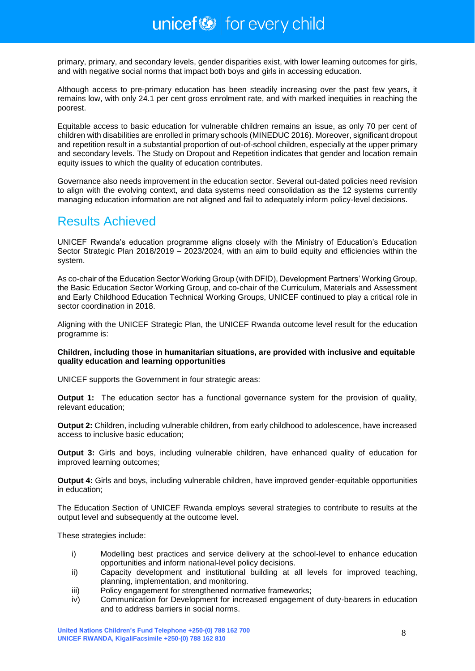primary, primary, and secondary levels, gender disparities exist, with lower learning outcomes for girls, and with negative social norms that impact both boys and girls in accessing education.

Although access to pre-primary education has been steadily increasing over the past few years, it remains low, with only 24.1 per cent gross enrolment rate, and with marked inequities in reaching the poorest.

Equitable access to basic education for vulnerable children remains an issue, as only 70 per cent of children with disabilities are enrolled in primary schools (MINEDUC 2016). Moreover, significant dropout and repetition result in a substantial proportion of out-of-school children, especially at the upper primary and secondary levels. The Study on Dropout and Repetition indicates that gender and location remain equity issues to which the quality of education contributes.

Governance also needs improvement in the education sector. Several out-dated policies need revision to align with the evolving context, and data systems need consolidation as the 12 systems currently managing education information are not aligned and fail to adequately inform policy-level decisions.

# <span id="page-7-0"></span>Results Achieved

UNICEF Rwanda's education programme aligns closely with the Ministry of Education's Education Sector Strategic Plan 2018/2019 – 2023/2024, with an aim to build equity and efficiencies within the system.

As co-chair of the Education Sector Working Group (with DFID), Development Partners' Working Group, the Basic Education Sector Working Group, and co-chair of the Curriculum, Materials and Assessment and Early Childhood Education Technical Working Groups, UNICEF continued to play a critical role in sector coordination in 2018.

Aligning with the UNICEF Strategic Plan, the UNICEF Rwanda outcome level result for the education programme is:

### **Children, including those in humanitarian situations, are provided with inclusive and equitable quality education and learning opportunities**

UNICEF supports the Government in four strategic areas:

**Output 1:** The education sector has a functional governance system for the provision of quality, relevant education;

**Output 2:** Children, including vulnerable children, from early childhood to adolescence, have increased access to inclusive basic education;

**Output 3:** Girls and boys, including vulnerable children, have enhanced quality of education for improved learning outcomes;

**Output 4:** Girls and boys, including vulnerable children, have improved gender-equitable opportunities in education;

The Education Section of UNICEF Rwanda employs several strategies to contribute to results at the output level and subsequently at the outcome level.

These strategies include:

- i) Modelling best practices and service delivery at the school-level to enhance education opportunities and inform national-level policy decisions.
- ii) Capacity development and institutional building at all levels for improved teaching, planning, implementation, and monitoring.
- iii) Policy engagement for strengthened normative frameworks:
- iv) Communication for Development for increased engagement of duty-bearers in education and to address barriers in social norms.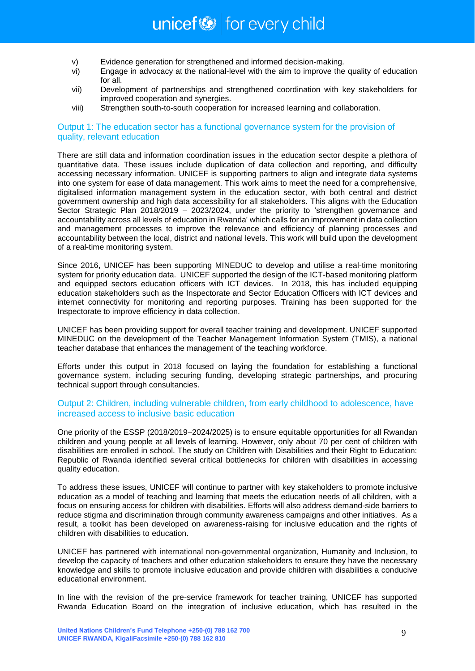- v) Evidence generation for strengthened and informed decision-making.
- vi) Engage in advocacy at the national-level with the aim to improve the quality of education for all.
- vii) Development of partnerships and strengthened coordination with key stakeholders for improved cooperation and synergies.
- viii) Strengthen south-to-south cooperation for increased learning and collaboration.

### Output 1: The education sector has a functional governance system for the provision of quality, relevant education

There are still data and information coordination issues in the education sector despite a plethora of quantitative data. These issues include duplication of data collection and reporting, and difficulty accessing necessary information. UNICEF is supporting partners to align and integrate data systems into one system for ease of data management. This work aims to meet the need for a comprehensive, digitalised information management system in the education sector, with both central and district government ownership and high data accessibility for all stakeholders. This aligns with the Education Sector Strategic Plan 2018/2019 – 2023/2024, under the priority to 'strengthen governance and accountability across all levels of education in Rwanda' which calls for an improvement in data collection and management processes to improve the relevance and efficiency of planning processes and accountability between the local, district and national levels. This work will build upon the development of a real-time monitoring system.

Since 2016, UNICEF has been supporting MINEDUC to develop and utilise a real-time monitoring system for priority education data. UNICEF supported the design of the ICT-based monitoring platform and equipped sectors education officers with ICT devices. In 2018, this has included equipping education stakeholders such as the Inspectorate and Sector Education Officers with ICT devices and internet connectivity for monitoring and reporting purposes. Training has been supported for the Inspectorate to improve efficiency in data collection.

UNICEF has been providing support for overall teacher training and development. UNICEF supported MINEDUC on the development of the Teacher Management Information System (TMIS), a national teacher database that enhances the management of the teaching workforce.

Efforts under this output in 2018 focused on laying the foundation for establishing a functional governance system, including securing funding, developing strategic partnerships, and procuring technical support through consultancies.

### Output 2: Children, including vulnerable children, from early childhood to adolescence, have increased access to inclusive basic education

One priority of the ESSP (2018/2019–2024/2025) is to ensure equitable opportunities for all Rwandan children and young people at all levels of learning. However, only about 70 per cent of children with disabilities are enrolled in school. The study on Children with Disabilities and their Right to Education: Republic of Rwanda identified several critical bottlenecks for children with disabilities in accessing quality education.

To address these issues, UNICEF will continue to partner with key stakeholders to promote inclusive education as a model of teaching and learning that meets the education needs of all children, with a focus on ensuring access for children with disabilities. Efforts will also address demand-side barriers to reduce stigma and discrimination through community awareness campaigns and other initiatives. As a result, a toolkit has been developed on awareness-raising for inclusive education and the rights of children with disabilities to education.

UNICEF has partnered with international non-governmental organization, Humanity and Inclusion, to develop the capacity of teachers and other education stakeholders to ensure they have the necessary knowledge and skills to promote inclusive education and provide children with disabilities a conducive educational environment.

In line with the revision of the pre-service framework for teacher training, UNICEF has supported Rwanda Education Board on the integration of inclusive education, which has resulted in the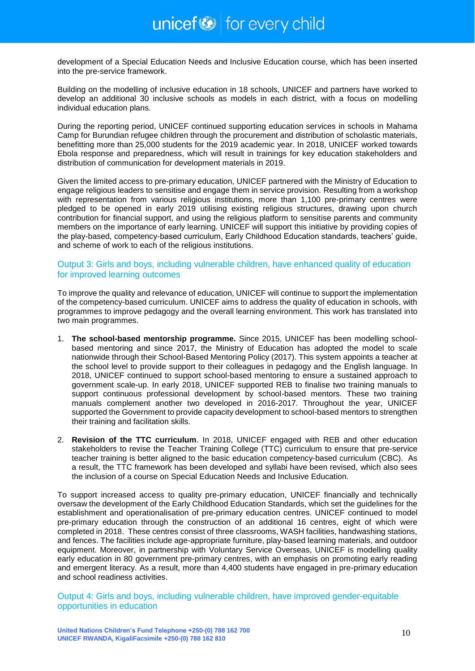development of a Special Education Needs and Inclusive Education course, which has been inserted into the pre-service framework.

Building on the modelling of inclusive education in 18 schools, UNICEF and partners have worked to develop an additional 30 inclusive schools as models in each district, with a focus on modelling individual education plans.

During the reporting period, UNICEF continued supporting education services in schools in Mahama Camp for Burundian refugee children through the procurement and distribution of scholastic materials, benefitting more than 25,000 students for the 2019 academic year. In 2018, UNICEF worked towards Ebola response and preparedness, which will result in trainings for key education stakeholders and distribution of communication for development materials in 2019.

Given the limited access to pre-primary education, UNICEF partnered with the Ministry of Education to engage religious leaders to sensitise and engage them in service provision. Resulting from a workshop with representation from various religious institutions, more than 1,100 pre-primary centres were pledged to be opened in early 2019 utilising existing religious structures, drawing upon church contribution for financial support, and using the religious platform to sensitise parents and community members on the importance of early learning. UNICEF will support this initiative by providing copies of the play-based, competency-based curriculum, Early Childhood Education standards, teachers' guide, and scheme of work to each of the religious institutions.

### Output 3: Girls and boys, including vulnerable children, have enhanced quality of education for improved learning outcomes

To improve the quality and relevance of education, UNICEF will continue to support the implementation of the competency-based curriculum. UNICEF aims to address the quality of education in schools, with programmes to improve pedagogy and the overall learning environment. This work has translated into two main programmes.

- 1. **The school-based mentorship programme.** Since 2015, UNICEF has been modelling schoolbased mentoring and since 2017, the Ministry of Education has adopted the model to scale nationwide through their School-Based Mentoring Policy (2017). This system appoints a teacher at the school level to provide support to their colleagues in pedagogy and the English language. In 2018, UNICEF continued to support school-based mentoring to ensure a sustained approach to government scale-up. In early 2018, UNICEF supported REB to finalise two training manuals to support continuous professional development by school-based mentors. These two training manuals complement another two developed in 2016-2017. Throughout the year, UNICEF supported the Government to provide capacity development to school-based mentors to strengthen their training and facilitation skills.
- 2. **Revision of the TTC curriculum**. In 2018, UNICEF engaged with REB and other education stakeholders to revise the Teacher Training College (TTC) curriculum to ensure that pre-service teacher training is better aligned to the basic education competency-based curriculum (CBC). As a result, the TTC framework has been developed and syllabi have been revised, which also sees the inclusion of a course on Special Education Needs and Inclusive Education.

To support increased access to quality pre-primary education, UNICEF financially and technically oversaw the development of the Early Childhood Education Standards, which set the guidelines for the establishment and operationalisation of pre-primary education centres. UNICEF continued to model pre-primary education through the construction of an additional 16 centres, eight of which were completed in 2018. These centres consist of three classrooms, WASH facilities, handwashing stations, and fences. The facilities include age-appropriate furniture, play-based learning materials, and outdoor equipment. Moreover, in partnership with Voluntary Service Overseas, UNICEF is modelling quality early education in 80 government pre-primary centres, with an emphasis on promoting early reading and emergent literacy. As a result, more than 4,400 students have engaged in pre-primary education and school readiness activities.

Output 4: Girls and boys, including vulnerable children, have improved gender-equitable opportunities in education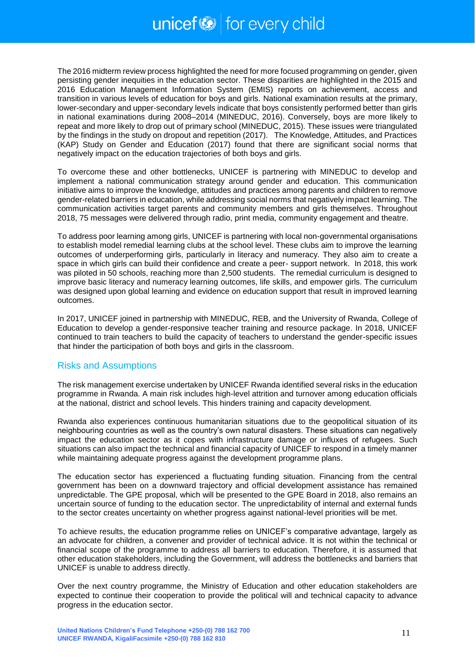The 2016 midterm review process highlighted the need for more focused programming on gender, given persisting gender inequities in the education sector. These disparities are highlighted in the 2015 and 2016 Education Management Information System (EMIS) reports on achievement, access and transition in various levels of education for boys and girls. National examination results at the primary, lower-secondary and upper-secondary levels indicate that boys consistently performed better than girls in national examinations during 2008–2014 (MINEDUC, 2016). Conversely, boys are more likely to repeat and more likely to drop out of primary school (MINEDUC, 2015). These issues were triangulated by the findings in the study on dropout and repetition (2017). The Knowledge, Attitudes, and Practices (KAP) Study on Gender and Education (2017) found that there are significant social norms that negatively impact on the education trajectories of both boys and girls.

To overcome these and other bottlenecks, UNICEF is partnering with MINEDUC to develop and implement a national communication strategy around gender and education. This communication initiative aims to improve the knowledge, attitudes and practices among parents and children to remove gender-related barriers in education, while addressing social norms that negatively impact learning. The communication activities target parents and community members and girls themselves. Throughout 2018, 75 messages were delivered through radio, print media, community engagement and theatre.

To address poor learning among girls, UNICEF is partnering with local non-governmental organisations to establish model remedial learning clubs at the school level. These clubs aim to improve the learning outcomes of underperforming girls, particularly in literacy and numeracy. They also aim to create a space in which girls can build their confidence and create a peer- support network. In 2018, this work was piloted in 50 schools, reaching more than 2,500 students. The remedial curriculum is designed to improve basic literacy and numeracy learning outcomes, life skills, and empower girls. The curriculum was designed upon global learning and evidence on education support that result in improved learning outcomes.

In 2017, UNICEF joined in partnership with MINEDUC, REB, and the University of Rwanda, College of Education to develop a gender-responsive teacher training and resource package. In 2018, UNICEF continued to train teachers to build the capacity of teachers to understand the gender-specific issues that hinder the participation of both boys and girls in the classroom.

### Risks and Assumptions

The risk management exercise undertaken by UNICEF Rwanda identified several risks in the education programme in Rwanda. A main risk includes high-level attrition and turnover among education officials at the national, district and school levels. This hinders training and capacity development.

Rwanda also experiences continuous humanitarian situations due to the geopolitical situation of its neighbouring countries as well as the country's own natural disasters. These situations can negatively impact the education sector as it copes with infrastructure damage or influxes of refugees. Such situations can also impact the technical and financial capacity of UNICEF to respond in a timely manner while maintaining adequate progress against the development programme plans.

The education sector has experienced a fluctuating funding situation. Financing from the central government has been on a downward trajectory and official development assistance has remained unpredictable. The GPE proposal, which will be presented to the GPE Board in 2018, also remains an uncertain source of funding to the education sector. The unpredictability of internal and external funds to the sector creates uncertainty on whether progress against national-level priorities will be met.

To achieve results, the education programme relies on UNICEF's comparative advantage, largely as an advocate for children, a convener and provider of technical advice. It is not within the technical or financial scope of the programme to address all barriers to education. Therefore, it is assumed that other education stakeholders, including the Government, will address the bottlenecks and barriers that UNICEF is unable to address directly.

Over the next country programme, the Ministry of Education and other education stakeholders are expected to continue their cooperation to provide the political will and technical capacity to advance progress in the education sector.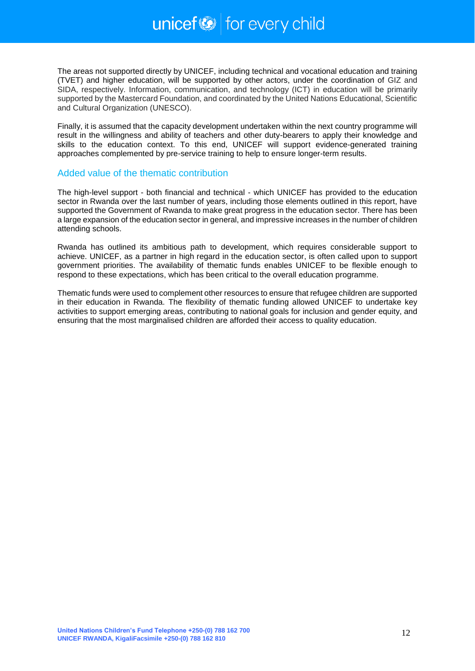The areas not supported directly by UNICEF, including technical and vocational education and training (TVET) and higher education, will be supported by other actors, under the coordination of GIZ and SIDA, respectively. Information, communication, and technology (ICT) in education will be primarily supported by the Mastercard Foundation, and coordinated by the United Nations Educational, Scientific and Cultural Organization (UNESCO).

Finally, it is assumed that the capacity development undertaken within the next country programme will result in the willingness and ability of teachers and other duty-bearers to apply their knowledge and skills to the education context. To this end, UNICEF will support evidence-generated training approaches complemented by pre-service training to help to ensure longer-term results.

### Added value of the thematic contribution

The high-level support - both financial and technical - which UNICEF has provided to the education sector in Rwanda over the last number of years, including those elements outlined in this report, have supported the Government of Rwanda to make great progress in the education sector. There has been a large expansion of the education sector in general, and impressive increases in the number of children attending schools.

Rwanda has outlined its ambitious path to development, which requires considerable support to achieve. UNICEF, as a partner in high regard in the education sector, is often called upon to support government priorities. The availability of thematic funds enables UNICEF to be flexible enough to respond to these expectations, which has been critical to the overall education programme.

Thematic funds were used to complement other resources to ensure that refugee children are supported in their education in Rwanda. The flexibility of thematic funding allowed UNICEF to undertake key activities to support emerging areas, contributing to national goals for inclusion and gender equity, and ensuring that the most marginalised children are afforded their access to quality education.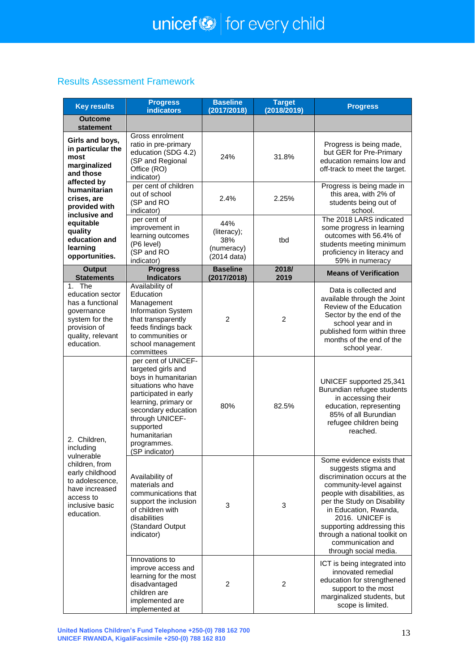### Results Assessment Framework

| <b>Key results</b>                                                                                                                                              | <b>Progress</b><br><b>indicators</b>                                                                                                                                                                                                              | <b>Baseline</b><br>(2017/2018)                         | <b>Target</b><br>(2018/2019) | <b>Progress</b>                                                                                                                                                                                                                                                                                                                     |
|-----------------------------------------------------------------------------------------------------------------------------------------------------------------|---------------------------------------------------------------------------------------------------------------------------------------------------------------------------------------------------------------------------------------------------|--------------------------------------------------------|------------------------------|-------------------------------------------------------------------------------------------------------------------------------------------------------------------------------------------------------------------------------------------------------------------------------------------------------------------------------------|
| <b>Outcome</b><br>statement                                                                                                                                     |                                                                                                                                                                                                                                                   |                                                        |                              |                                                                                                                                                                                                                                                                                                                                     |
| Girls and boys,<br>in particular the<br>most<br>marginalized<br>and those                                                                                       | Gross enrolment<br>ratio in pre-primary<br>education (SDG 4.2)<br>(SP and Regional<br>Office (RO)<br>indicator)                                                                                                                                   | 24%                                                    | 31.8%                        | Progress is being made,<br>but GER for Pre-Primary<br>education remains low and<br>off-track to meet the target.                                                                                                                                                                                                                    |
| affected by<br>humanitarian<br>crises, are<br>provided with<br>inclusive and                                                                                    | per cent of children<br>out of school<br>(SP and RO<br>indicator)                                                                                                                                                                                 | 2.4%                                                   | 2.25%                        | Progress is being made in<br>this area, with 2% of<br>students being out of<br>school.                                                                                                                                                                                                                                              |
| equitable<br>quality<br>education and<br>learning<br>opportunities.                                                                                             | per cent of<br>improvement in<br>learning outcomes<br>(P6 level)<br>(SP and RO<br>indicator)                                                                                                                                                      | 44%<br>(literacy);<br>38%<br>(numeracy)<br>(2014 data) | tbd                          | The 2018 LARS indicated<br>some progress in learning<br>outcomes with 56.4% of<br>students meeting minimum<br>proficiency in literacy and<br>59% in numeracy                                                                                                                                                                        |
| <b>Output</b><br><b>Statements</b>                                                                                                                              | <b>Progress</b><br><b>Indicators</b>                                                                                                                                                                                                              | <b>Baseline</b><br>(2017/2018)                         | 2018/<br>2019                | <b>Means of Verification</b>                                                                                                                                                                                                                                                                                                        |
| 1. The<br>education sector<br>has a functional<br>governance<br>system for the<br>provision of<br>quality, relevant<br>education.                               | Availability of<br>Education<br>Management<br>Information System<br>that transparently<br>feeds findings back<br>to communities or<br>school management<br>committees                                                                             | $\overline{2}$                                         | $\overline{2}$               | Data is collected and<br>available through the Joint<br>Review of the Education<br>Sector by the end of the<br>school year and in<br>published form within three<br>months of the end of the<br>school year.                                                                                                                        |
| 2. Children,<br>including<br>vulnerable<br>children, from<br>early childhood<br>to adolescence.<br>have increased<br>access to<br>inclusive basic<br>education. | per cent of UNICEF-<br>targeted girls and<br>boys in humanitarian<br>situations who have<br>participated in early<br>learning, primary or<br>secondary education<br>through UNICEF-<br>supported<br>humanitarian<br>programmes.<br>(SP indicator) | 80%                                                    | 82.5%                        | UNICEF supported 25,341<br>Burundian refugee students<br>in accessing their<br>education, representing<br>85% of all Burundian<br>refugee children being<br>reached.                                                                                                                                                                |
|                                                                                                                                                                 | Availability of<br>materials and<br>communications that<br>support the inclusion<br>of children with<br>disabilities<br>(Standard Output<br>indicator)                                                                                            | 3                                                      | 3                            | Some evidence exists that<br>suggests stigma and<br>discrimination occurs at the<br>community-level against<br>people with disabilities, as<br>per the Study on Disability<br>in Education, Rwanda,<br>2016. UNICEF is<br>supporting addressing this<br>through a national toolkit on<br>communication and<br>through social media. |
|                                                                                                                                                                 | Innovations to<br>improve access and<br>learning for the most<br>disadvantaged<br>children are<br>implemented are<br>implemented at                                                                                                               | $\overline{c}$                                         | 2                            | ICT is being integrated into<br>innovated remedial<br>education for strengthened<br>support to the most<br>marginalized students, but<br>scope is limited.                                                                                                                                                                          |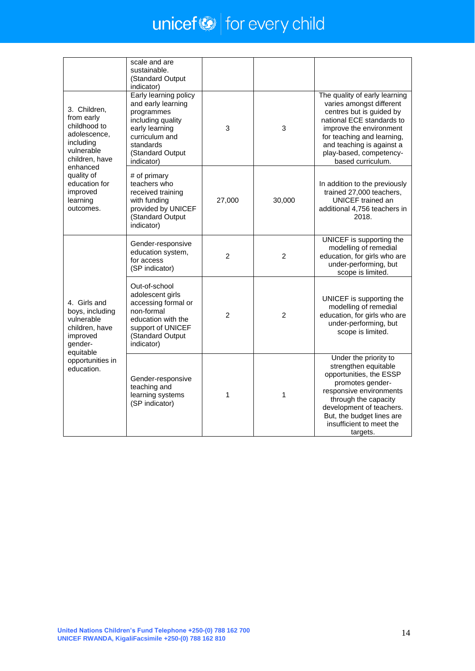# $unicef \otimes$  for every child

|                                                                                                                                                                                         | scale and are<br>sustainable.<br>(Standard Output<br>indicator)                                                                                                   |                |                |                                                                                                                                                                                                                                                          |
|-----------------------------------------------------------------------------------------------------------------------------------------------------------------------------------------|-------------------------------------------------------------------------------------------------------------------------------------------------------------------|----------------|----------------|----------------------------------------------------------------------------------------------------------------------------------------------------------------------------------------------------------------------------------------------------------|
| 3. Children,<br>from early<br>childhood to<br>adolescence,<br>including<br>vulnerable<br>children, have<br>enhanced<br>quality of<br>education for<br>improved<br>learning<br>outcomes. | Early learning policy<br>and early learning<br>programmes<br>including quality<br>early learning<br>curriculum and<br>standards<br>(Standard Output<br>indicator) | 3              | 3              | The quality of early learning<br>varies amongst different<br>centres but is guided by<br>national ECE standards to<br>improve the environment<br>for teaching and learning,<br>and teaching is against a<br>play-based, competency-<br>based curriculum. |
|                                                                                                                                                                                         | # of primary<br>teachers who<br>received training<br>with funding<br>provided by UNICEF<br>(Standard Output<br>indicator)                                         | 27,000         | 30,000         | In addition to the previously<br>trained 27,000 teachers,<br><b>UNICEF</b> trained an<br>additional 4,756 teachers in<br>2018.                                                                                                                           |
| 4. Girls and<br>boys, including<br>vulnerable<br>children, have<br>improved<br>gender-<br>equitable<br>opportunities in<br>education.                                                   | Gender-responsive<br>education system,<br>for access<br>(SP indicator)                                                                                            | $\overline{2}$ | $\overline{2}$ | UNICEF is supporting the<br>modelling of remedial<br>education, for girls who are<br>under-performing, but<br>scope is limited.                                                                                                                          |
|                                                                                                                                                                                         | Out-of-school<br>adolescent girls<br>accessing formal or<br>non-formal<br>education with the<br>support of UNICEF<br>(Standard Output<br>indicator)               | $\overline{2}$ | 2              | UNICEF is supporting the<br>modelling of remedial<br>education, for girls who are<br>under-performing, but<br>scope is limited.                                                                                                                          |
|                                                                                                                                                                                         | Gender-responsive<br>teaching and<br>learning systems<br>(SP indicator)                                                                                           | 1              | 1              | Under the priority to<br>strengthen equitable<br>opportunities, the ESSP<br>promotes gender-<br>responsive environments<br>through the capacity<br>development of teachers.<br>But, the budget lines are<br>insufficient to meet the<br>targets.         |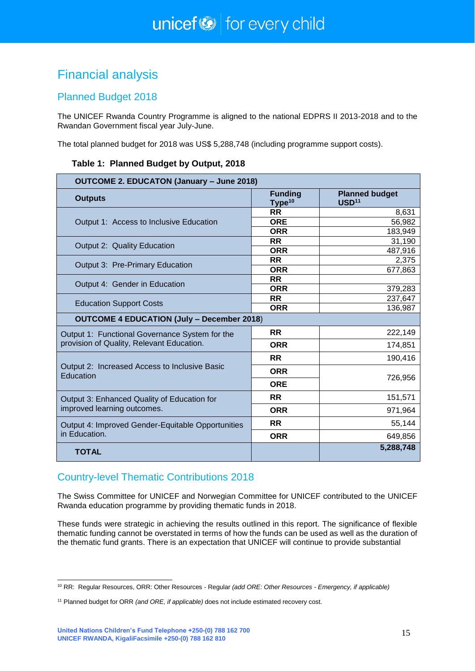# <span id="page-14-0"></span>Financial analysis

### Planned Budget 2018

The UNICEF Rwanda Country Programme is aligned to the national EDPRS II 2013-2018 and to the Rwandan Government fiscal year July-June.

The total planned budget for 2018 was US\$ 5,288,748 (including programme support costs).

| <b>OUTCOME 2. EDUCATON (January - June 2018)</b>           |                                      |                                            |  |
|------------------------------------------------------------|--------------------------------------|--------------------------------------------|--|
| <b>Outputs</b>                                             | <b>Funding</b><br>Type <sup>10</sup> | <b>Planned budget</b><br>USD <sup>11</sup> |  |
|                                                            | <b>RR</b>                            | 8,631                                      |  |
| Output 1: Access to Inclusive Education                    | <b>ORE</b>                           | 56,982                                     |  |
|                                                            | <b>ORR</b>                           | 183,949                                    |  |
| Output 2: Quality Education                                | <b>RR</b>                            | 31,190                                     |  |
|                                                            | <b>ORR</b>                           | 487,916                                    |  |
| Output 3: Pre-Primary Education                            | <b>RR</b><br><b>ORR</b>              | 2,375<br>677,863                           |  |
|                                                            | <b>RR</b>                            |                                            |  |
| Output 4: Gender in Education                              | <b>ORR</b>                           | 379,283                                    |  |
|                                                            | <b>RR</b>                            | 237,647                                    |  |
| <b>Education Support Costs</b>                             | <b>ORR</b>                           | 136,987                                    |  |
| <b>OUTCOME 4 EDUCATION (July - December 2018)</b>          |                                      |                                            |  |
| Output 1: Functional Governance System for the             | <b>RR</b>                            | 222,149                                    |  |
| provision of Quality, Relevant Education.                  | <b>ORR</b>                           | 174,851                                    |  |
|                                                            | <b>RR</b>                            | 190,416                                    |  |
| Output 2: Increased Access to Inclusive Basic<br>Education | <b>ORR</b>                           | 726,956                                    |  |
|                                                            | <b>ORE</b>                           |                                            |  |
| Output 3: Enhanced Quality of Education for                | <b>RR</b>                            | 151,571                                    |  |
| improved learning outcomes.                                | <b>ORR</b>                           | 971,964                                    |  |
| Output 4: Improved Gender-Equitable Opportunities          | <b>RR</b>                            | 55,144                                     |  |
| in Education.                                              | <b>ORR</b>                           | 649,856                                    |  |
| <b>TOTAL</b>                                               |                                      | 5,288,748                                  |  |

### Country-level Thematic Contributions 2018

The Swiss Committee for UNICEF and Norwegian Committee for UNICEF contributed to the UNICEF Rwanda education programme by providing thematic funds in 2018.

These funds were strategic in achieving the results outlined in this report. The significance of flexible thematic funding cannot be overstated in terms of how the funds can be used as well as the duration of the thematic fund grants. There is an expectation that UNICEF will continue to provide substantial

<sup>1</sup> <sup>10</sup> RR: Regular Resources, ORR: Other Resources - Regular *(add ORE: Other Resources - Emergency, if applicable)*

<sup>11</sup> Planned budget for ORR *(and ORE, if applicable)* does not include estimated recovery cost.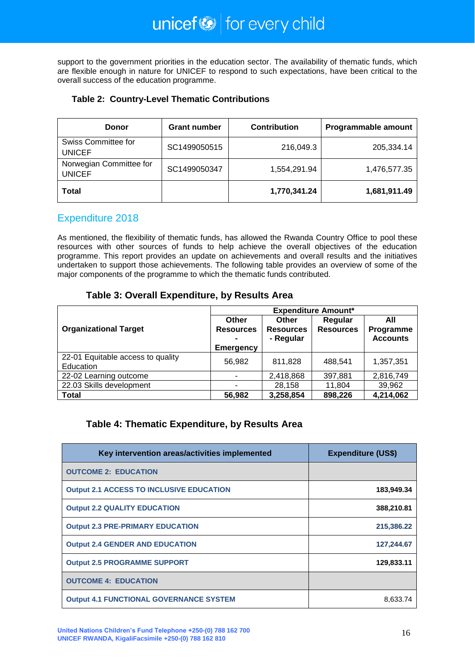support to the government priorities in the education sector. The availability of thematic funds, which are flexible enough in nature for UNICEF to respond to such expectations, have been critical to the overall success of the education programme.

### **Table 2: Country-Level Thematic Contributions**

| Donor                                    | <b>Grant number</b> | <b>Contribution</b> | Programmable amount |
|------------------------------------------|---------------------|---------------------|---------------------|
| Swiss Committee for<br><b>UNICEF</b>     | SC1499050515        | 216,049.3           | 205,334.14          |
| Norwegian Committee for<br><b>UNICEF</b> | SC1499050347        | 1,554,291.94        | 1,476,577.35        |
| <b>Total</b>                             |                     | 1,770,341.24        | 1,681,911.49        |

### Expenditure 2018

As mentioned, the flexibility of thematic funds, has allowed the Rwanda Country Office to pool these resources with other sources of funds to help achieve the overall objectives of the education programme. This report provides an update on achievements and overall results and the initiatives undertaken to support those achievements. The following table provides an overview of some of the major components of the programme to which the thematic funds contributed.

### **Table 3: Overall Expenditure, by Results Area**

|                                                | <b>Expenditure Amount*</b>                    |                                        |                             |                                     |  |
|------------------------------------------------|-----------------------------------------------|----------------------------------------|-----------------------------|-------------------------------------|--|
| <b>Organizational Target</b>                   | Other<br><b>Resources</b><br><b>Emergency</b> | Other<br><b>Resources</b><br>- Regular | Regular<br><b>Resources</b> | All<br>Programme<br><b>Accounts</b> |  |
| 22-01 Equitable access to quality<br>Education | 56,982                                        | 811,828                                | 488.541                     | 1,357,351                           |  |
| 22-02 Learning outcome                         |                                               | 2,418,868                              | 397,881                     | 2,816,749                           |  |
| 22.03 Skills development                       |                                               | 28,158                                 | 11,804                      | 39,962                              |  |
| <b>Total</b>                                   | 56,982                                        | 3,258,854                              | 898,226                     | 4,214,062                           |  |

### **Table 4: Thematic Expenditure, by Results Area**

| Key intervention areas/activities implemented   | <b>Expenditure (US\$)</b> |
|-------------------------------------------------|---------------------------|
| <b>OUTCOME 2: EDUCATION</b>                     |                           |
| <b>Output 2.1 ACCESS TO INCLUSIVE EDUCATION</b> | 183,949.34                |
| <b>Output 2.2 QUALITY EDUCATION</b>             | 388,210.81                |
| <b>Output 2.3 PRE-PRIMARY EDUCATION</b>         | 215,386.22                |
| <b>Output 2.4 GENDER AND EDUCATION</b>          | 127,244.67                |
| <b>Output 2.5 PROGRAMME SUPPORT</b>             | 129,833.11                |
| <b>OUTCOME 4: EDUCATION</b>                     |                           |
| <b>Output 4.1 FUNCTIONAL GOVERNANCE SYSTEM</b>  | 8,633.74                  |

**United Nations Children's Fund Telephone +250-(0) 788 162 700 UNICEF RWANDA, KigaliFacsimile +250-(0) 788 162 810**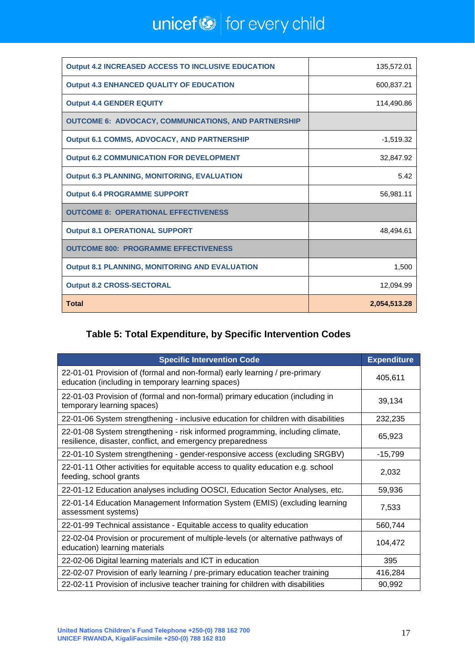# unicef $\bigcirc$  for every child

| <b>Output 4.2 INCREASED ACCESS TO INCLUSIVE EDUCATION</b>   | 135,572.01   |
|-------------------------------------------------------------|--------------|
| <b>Output 4.3 ENHANCED QUALITY OF EDUCATION</b>             | 600,837.21   |
| <b>Output 4.4 GENDER EQUITY</b>                             | 114,490.86   |
| <b>OUTCOME 6: ADVOCACY, COMMUNICATIONS, AND PARTNERSHIP</b> |              |
| <b>Output 6.1 COMMS, ADVOCACY, AND PARTNERSHIP</b>          | $-1,519.32$  |
| <b>Output 6.2 COMMUNICATION FOR DEVELOPMENT</b>             | 32,847.92    |
| <b>Output 6.3 PLANNING, MONITORING, EVALUATION</b>          | 5.42         |
| <b>Output 6.4 PROGRAMME SUPPORT</b>                         | 56,981.11    |
| <b>OUTCOME 8: OPERATIONAL EFFECTIVENESS</b>                 |              |
| <b>Output 8.1 OPERATIONAL SUPPORT</b>                       | 48.494.61    |
| <b>OUTCOME 800: PROGRAMME EFFECTIVENESS</b>                 |              |
| <b>Output 8.1 PLANNING, MONITORING AND EVALUATION</b>       | 1,500        |
| <b>Output 8.2 CROSS-SECTORAL</b>                            | 12.094.99    |
| <b>Total</b>                                                | 2,054,513.28 |

### **Table 5: Total Expenditure, by Specific Intervention Codes**

| <b>Specific Intervention Code</b>                                                                                                           | <b>Expenditure</b> |
|---------------------------------------------------------------------------------------------------------------------------------------------|--------------------|
| 22-01-01 Provision of (formal and non-formal) early learning / pre-primary<br>education (including in temporary learning spaces)            | 405,611            |
| 22-01-03 Provision of (formal and non-formal) primary education (including in<br>temporary learning spaces)                                 | 39,134             |
| 22-01-06 System strengthening - inclusive education for children with disabilities                                                          | 232,235            |
| 22-01-08 System strengthening - risk informed programming, including climate,<br>resilience, disaster, conflict, and emergency preparedness | 65,923             |
| 22-01-10 System strengthening - gender-responsive access (excluding SRGBV)                                                                  | $-15,799$          |
| 22-01-11 Other activities for equitable access to quality education e.g. school<br>feeding, school grants                                   | 2,032              |
| 22-01-12 Education analyses including OOSCI, Education Sector Analyses, etc.                                                                | 59,936             |
| 22-01-14 Education Management Information System (EMIS) (excluding learning<br>assessment systems)                                          | 7,533              |
| 22-01-99 Technical assistance - Equitable access to quality education                                                                       | 560,744            |
| 22-02-04 Provision or procurement of multiple-levels (or alternative pathways of<br>education) learning materials                           | 104,472            |
| 22-02-06 Digital learning materials and ICT in education                                                                                    | 395                |
| 22-02-07 Provision of early learning / pre-primary education teacher training                                                               | 416,284            |
| 22-02-11 Provision of inclusive teacher training for children with disabilities                                                             | 90,992             |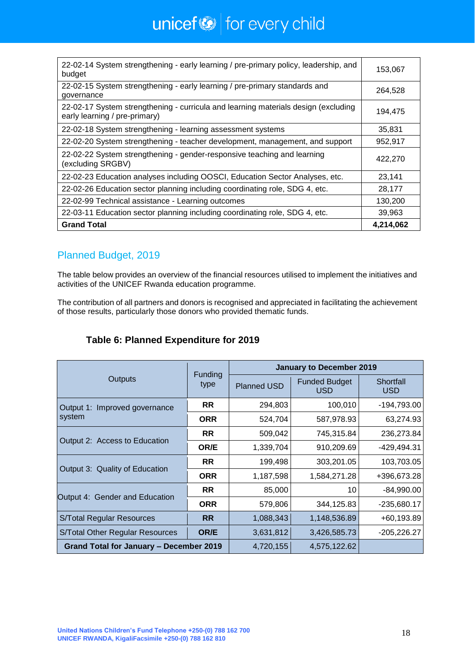# unicef $\bigcirc$  for every child

| 22-02-14 System strengthening - early learning / pre-primary policy, leadership, and<br>budget                      | 153,067   |
|---------------------------------------------------------------------------------------------------------------------|-----------|
| 22-02-15 System strengthening - early learning / pre-primary standards and<br>governance                            | 264,528   |
| 22-02-17 System strengthening - curricula and learning materials design (excluding<br>early learning / pre-primary) | 194,475   |
| 22-02-18 System strengthening - learning assessment systems                                                         | 35,831    |
| 22-02-20 System strengthening - teacher development, management, and support                                        | 952,917   |
| 22-02-22 System strengthening - gender-responsive teaching and learning<br>(excluding SRGBV)                        | 422,270   |
| 22-02-23 Education analyses including OOSCI, Education Sector Analyses, etc.                                        | 23,141    |
| 22-02-26 Education sector planning including coordinating role, SDG 4, etc.                                         | 28,177    |
| 22-02-99 Technical assistance - Learning outcomes                                                                   | 130,200   |
| 22-03-11 Education sector planning including coordinating role, SDG 4, etc.                                         | 39,963    |
| <b>Grand Total</b>                                                                                                  | 4,214,062 |

### Planned Budget, 2019

The table below provides an overview of the financial resources utilised to implement the initiatives and activities of the UNICEF Rwanda education programme.

The contribution of all partners and donors is recognised and appreciated in facilitating the achievement of those results, particularly those donors who provided thematic funds.

| Table 6: Planned Expenditure for 2019 |  |
|---------------------------------------|--|
|                                       |  |

|                                         |                 | <b>January to December 2019</b> |                                    |                         |  |  |  |
|-----------------------------------------|-----------------|---------------------------------|------------------------------------|-------------------------|--|--|--|
| <b>Outputs</b>                          | Funding<br>type | <b>Planned USD</b>              | <b>Funded Budget</b><br><b>USD</b> | Shortfall<br><b>USD</b> |  |  |  |
| Output 1: Improved governance           | <b>RR</b>       | 294,803                         | 100,010                            | -194,793.00             |  |  |  |
| system                                  | <b>ORR</b>      | 524,704                         | 587,978.93                         | 63,274.93               |  |  |  |
| Output 2: Access to Education           | <b>RR</b>       | 509,042                         | 745,315.84                         | 236,273.84              |  |  |  |
|                                         | OR/E            | 1,339,704                       | 910,209.69                         | -429,494.31             |  |  |  |
| Output 3: Quality of Education          | <b>RR</b>       | 199,498                         | 303,201.05                         | 103,703.05              |  |  |  |
|                                         | <b>ORR</b>      | 1,187,598                       | 1,584,271.28                       | +396,673.28             |  |  |  |
| Output 4: Gender and Education          | <b>RR</b>       | 85,000                          | 10                                 | $-84,990.00$            |  |  |  |
|                                         | <b>ORR</b>      | 579,806                         | 344,125.83                         | $-235,680.17$           |  |  |  |
| <b>S/Total Regular Resources</b>        | <b>RR</b>       | 1,088,343                       | 1,148,536.89                       | +60,193.89              |  |  |  |
| S/Total Other Regular Resources         | OR/E            | 3,631,812                       | 3,426,585.73                       | $-205,226.27$           |  |  |  |
| Grand Total for January - December 2019 |                 | 4,720,155                       | 4,575,122.62                       |                         |  |  |  |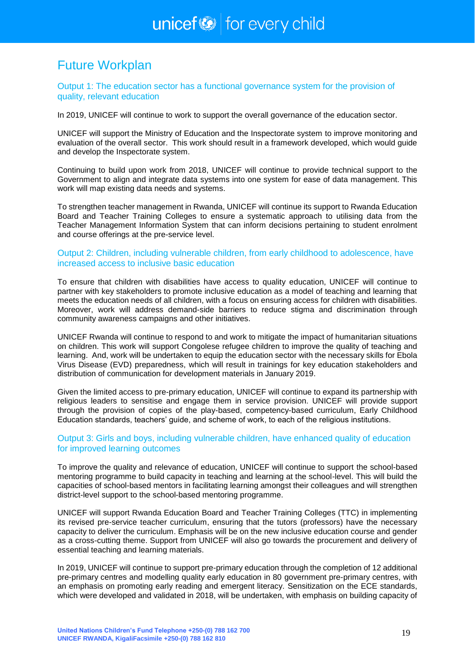# <span id="page-18-0"></span>Future Workplan

Output 1: The education sector has a functional governance system for the provision of quality, relevant education

In 2019, UNICEF will continue to work to support the overall governance of the education sector.

UNICEF will support the Ministry of Education and the Inspectorate system to improve monitoring and evaluation of the overall sector. This work should result in a framework developed, which would guide and develop the Inspectorate system.

Continuing to build upon work from 2018, UNICEF will continue to provide technical support to the Government to align and integrate data systems into one system for ease of data management. This work will map existing data needs and systems.

To strengthen teacher management in Rwanda, UNICEF will continue its support to Rwanda Education Board and Teacher Training Colleges to ensure a systematic approach to utilising data from the Teacher Management Information System that can inform decisions pertaining to student enrolment and course offerings at the pre-service level.

### Output 2: Children, including vulnerable children, from early childhood to adolescence, have increased access to inclusive basic education

To ensure that children with disabilities have access to quality education, UNICEF will continue to partner with key stakeholders to promote inclusive education as a model of teaching and learning that meets the education needs of all children, with a focus on ensuring access for children with disabilities. Moreover, work will address demand-side barriers to reduce stigma and discrimination through community awareness campaigns and other initiatives.

UNICEF Rwanda will continue to respond to and work to mitigate the impact of humanitarian situations on children. This work will support Congolese refugee children to improve the quality of teaching and learning. And, work will be undertaken to equip the education sector with the necessary skills for Ebola Virus Disease (EVD) preparedness, which will result in trainings for key education stakeholders and distribution of communication for development materials in January 2019.

Given the limited access to pre-primary education, UNICEF will continue to expand its partnership with religious leaders to sensitise and engage them in service provision. UNICEF will provide support through the provision of copies of the play-based, competency-based curriculum, Early Childhood Education standards, teachers' guide, and scheme of work, to each of the religious institutions.

### Output 3: Girls and boys, including vulnerable children, have enhanced quality of education for improved learning outcomes

To improve the quality and relevance of education, UNICEF will continue to support the school-based mentoring programme to build capacity in teaching and learning at the school-level. This will build the capacities of school-based mentors in facilitating learning amongst their colleagues and will strengthen district-level support to the school-based mentoring programme.

UNICEF will support Rwanda Education Board and Teacher Training Colleges (TTC) in implementing its revised pre-service teacher curriculum, ensuring that the tutors (professors) have the necessary capacity to deliver the curriculum. Emphasis will be on the new inclusive education course and gender as a cross-cutting theme. Support from UNICEF will also go towards the procurement and delivery of essential teaching and learning materials.

In 2019, UNICEF will continue to support pre-primary education through the completion of 12 additional pre-primary centres and modelling quality early education in 80 government pre-primary centres, with an emphasis on promoting early reading and emergent literacy. Sensitization on the ECE standards, which were developed and validated in 2018, will be undertaken, with emphasis on building capacity of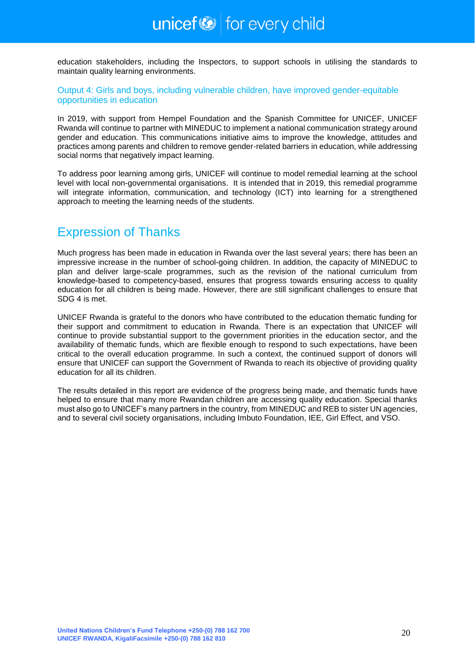education stakeholders, including the Inspectors, to support schools in utilising the standards to maintain quality learning environments.

### Output 4: Girls and boys, including vulnerable children, have improved gender-equitable opportunities in education

In 2019, with support from Hempel Foundation and the Spanish Committee for UNICEF, UNICEF Rwanda will continue to partner with MINEDUC to implement a national communication strategy around gender and education. This communications initiative aims to improve the knowledge, attitudes and practices among parents and children to remove gender-related barriers in education, while addressing social norms that negatively impact learning.

To address poor learning among girls, UNICEF will continue to model remedial learning at the school level with local non-governmental organisations. It is intended that in 2019, this remedial programme will integrate information, communication, and technology (ICT) into learning for a strengthened approach to meeting the learning needs of the students.

# <span id="page-19-0"></span>Expression of Thanks

Much progress has been made in education in Rwanda over the last several years; there has been an impressive increase in the number of school-going children. In addition, the capacity of MINEDUC to plan and deliver large-scale programmes, such as the revision of the national curriculum from knowledge-based to competency-based, ensures that progress towards ensuring access to quality education for all children is being made. However, there are still significant challenges to ensure that SDG 4 is met.

UNICEF Rwanda is grateful to the donors who have contributed to the education thematic funding for their support and commitment to education in Rwanda. There is an expectation that UNICEF will continue to provide substantial support to the government priorities in the education sector, and the availability of thematic funds, which are flexible enough to respond to such expectations, have been critical to the overall education programme. In such a context, the continued support of donors will ensure that UNICEF can support the Government of Rwanda to reach its objective of providing quality education for all its children.

The results detailed in this report are evidence of the progress being made, and thematic funds have helped to ensure that many more Rwandan children are accessing quality education. Special thanks must also go to UNICEF's many partners in the country, from MINEDUC and REB to sister UN agencies, and to several civil society organisations, including Imbuto Foundation, IEE, Girl Effect, and VSO.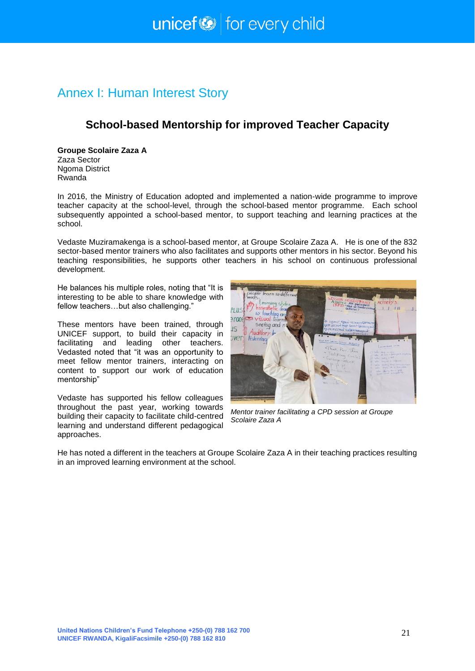# <span id="page-20-0"></span>Annex I: Human Interest Story

### **School-based Mentorship for improved Teacher Capacity**

**Groupe Scolaire Zaza A** Zaza Sector Ngoma District Rwanda

In 2016, the Ministry of Education adopted and implemented a nation-wide programme to improve teacher capacity at the school-level, through the school-based mentor programme. Each school subsequently appointed a school-based mentor, to support teaching and learning practices at the school.

Vedaste Muziramakenga is a school-based mentor, at Groupe Scolaire Zaza A. He is one of the 832 sector-based mentor trainers who also facilitates and supports other mentors in his sector. Beyond his teaching responsibilities, he supports other teachers in his school on continuous professional development.

He balances his multiple roles, noting that "It is interesting to be able to share knowledge with fellow teachers…but also challenging."

These mentors have been trained, through UNICEF support, to build their capacity in facilitating and leading other teachers. Vedasted noted that "it was an opportunity to meet fellow mentor trainers, interacting on content to support our work of education mentorship"

Vedaste has supported his fellow colleagues throughout the past year, working towards building their capacity to facilitate child-centred learning and understand different pedagogical approaches.



*Mentor trainer facilitating a CPD session at Groupe Scolaire Zaza A*

He has noted a different in the teachers at Groupe Scolaire Zaza A in their teaching practices resulting in an improved learning environment at the school.